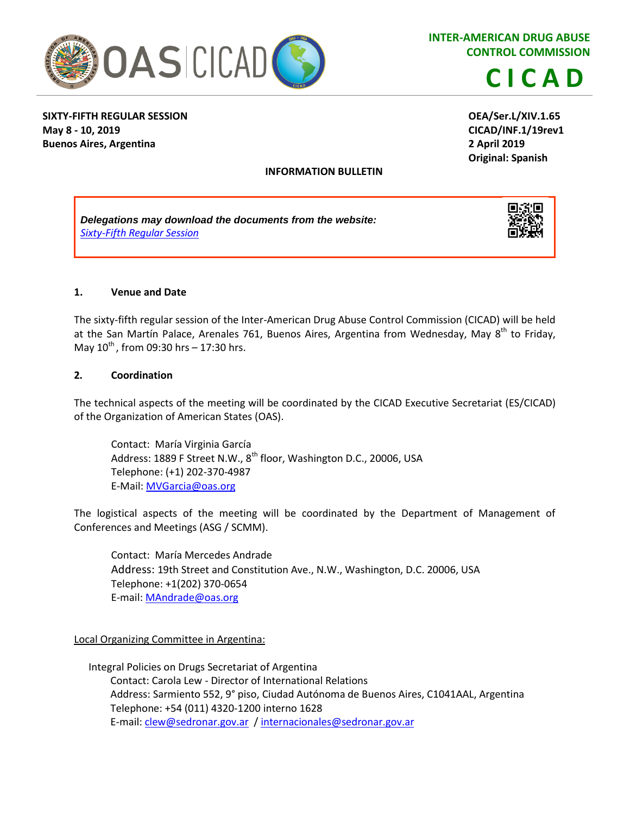

**INTER-AMERICAN DRUG ABUSE CONTROL COMMISSION**

**CICAD**

## **SIXTY-FIFTH REGULAR SESSION May 8 - 10, 2019 Buenos Aires, Argentina**

**OEA/Ser.L/XIV.1.65 CICAD/INF.1/19rev1 2 April 2019 Original: Spanish**

#### **INFORMATION BULLETIN**

*Delegations may download the documents from the website: Sixty-Fifth [Regular Session](http://www.cicad.oas.org/main/aboutcicad/activities_eng.asp?IE=ARM22A)*



#### **1. Venue and Date**

The sixty-fifth regular session of the Inter-American Drug Abuse Control Commission (CICAD) will be held at the San Martín Palace, Arenales 761, Buenos Aires, Argentina from Wednesday, May 8<sup>th</sup> to Friday, May  $10^{th}$ , from 09:30 hrs – 17:30 hrs.

#### **2***.* **Coordination**

The technical aspects of the meeting will be coordinated by the CICAD Executive Secretariat (ES/CICAD) of the Organization of American States (OAS).

Contact: María Virginia García Address: 1889 F Street N.W., 8<sup>th</sup> floor, Washington D.C., 20006, USA Telephone: (+1) 202-370-4987 E-Mail: [MVGarcia@oas.org](mailto:MVGarcia@oas.org)

The logistical aspects of the meeting will be coordinated by the Department of Management of Conferences and Meetings (ASG / SCMM).

Contact: María Mercedes Andrade Address: 19th Street and Constitution Ave., N.W., Washington, D.C. 20006, USA Telephone: +1(202) 370-0654 E-mail: [MAndrade@oas.org](mailto:MAndrade@oas.org)

#### Local Organizing Committee in Argentina:

Integral Policies on Drugs Secretariat of Argentina Contact: Carola Lew - Director of International Relations Address: Sarmiento 552, 9° piso, Ciudad Autónoma de Buenos Aires, C1041AAL, Argentina Telephone: +54 (011) 4320-1200 interno 1628 E-mail[: clew@sedronar.gov.ar](mailto:clew@sedronar.gov.ar) [/ internacionales@sedronar.gov.ar](mailto:internacionales@sedronar.gov.ar)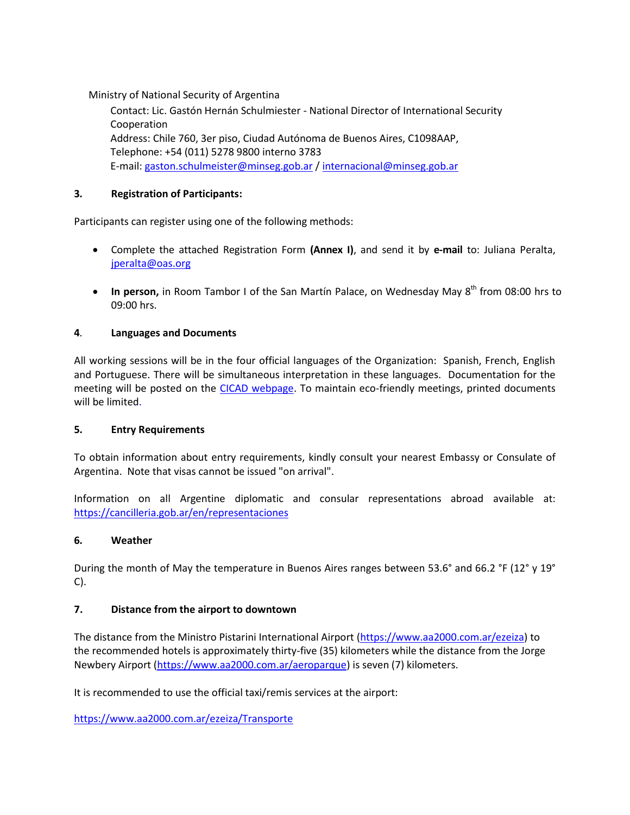Ministry of National Security of Argentina

Contact: Lic. Gastón Hernán Schulmiester - National Director of International Security Cooperation Address: Chile 760, 3er piso, Ciudad Autónoma de Buenos Aires, C1098AAP, Telephone: +54 (011) 5278 9800 interno 3783 E-mail: [gaston.schulmeister@minseg.gob.ar](mailto:gaston.schulmeister@minseg.gob.ar) / [internacional@minseg.gob.ar](mailto:internacional@minseg.gob.ar)

## **3***.* **Registration of Participants:**

Participants can register using one of the following methods:

- Complete the attached Registration Form **(Annex I)**, and send it by **e-mail** to: Juliana Peralta, [jperalta@oas.org](mailto:jperalta@oas.org)
- In person, in Room Tambor I of the San Martín Palace, on Wednesday May 8<sup>th</sup> from 08:00 hrs to 09:00 hrs.

#### **4***.* **Languages and Documents**

All working sessions will be in the four official languages of the Organization: Spanish, French, English and Portuguese. There will be simultaneous interpretation in these languages. Documentation for the meeting will be posted on the [CICAD webpage.](http://www.cicad.oas.org/main/aboutcicad/activities_eng.asp?IE=ARM22A) To maintain eco-friendly meetings, printed documents will be limited.

#### **5***.* **Entry Requirements**

To obtain information about entry requirements, kindly consult your nearest Embassy or Consulate of Argentina. Note that visas cannot be issued "on arrival".

Information on all Argentine diplomatic and consular representations abroad available at: <https://cancilleria.gob.ar/en/representaciones>

#### **6***.* **Weather**

During the month of May the temperature in Buenos Aires ranges between 53.6° and 66.2 °F (12° y 19° C).

#### **7. Distance from the airport to downtown**

The distance from the Ministro Pistarini International Airport [\(https://www.aa2000.com.ar/ezeiza\)](https://www.aa2000.com.ar/ezeiza) to the recommended hotels is approximately thirty-five (35) kilometers while the distance from the Jorge Newbery Airport [\(https://www.aa2000.com.ar/aeroparque\)](https://www.aa2000.com.ar/aeroparque) is seven (7) kilometers.

It is recommended to use the official taxi/remis services at the airport:

<https://www.aa2000.com.ar/ezeiza/Transporte>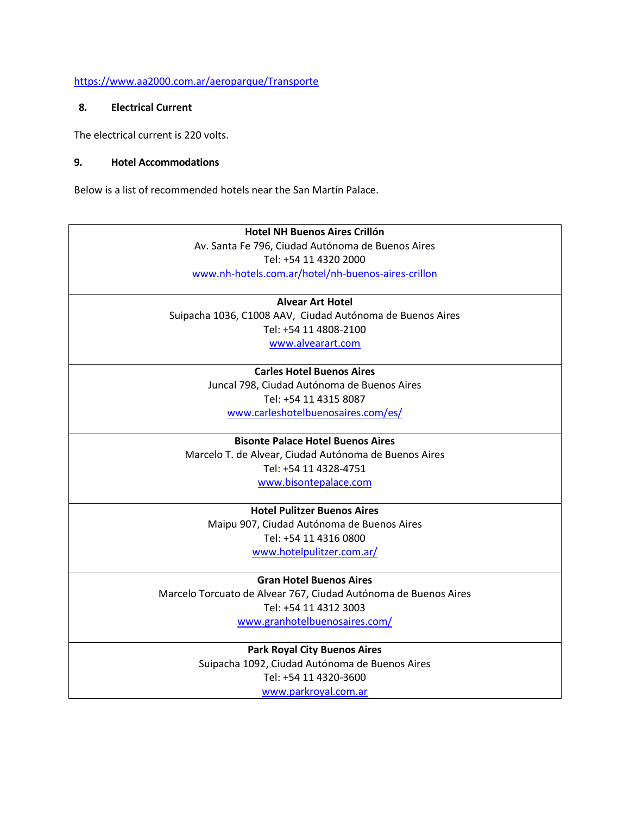#### <https://www.aa2000.com.ar/aeroparque/Transporte>

#### **8***.* **Electrical Current**

The electrical current is 220 volts.

#### **9***.* **Hotel Accommodations**

Below is a list of recommended hotels near the San Martín Palace.

## **Hotel NH Buenos Aires Crillón** Av. Santa Fe 796, Ciudad Autónoma de Buenos Aires Tel: +54 11 4320 2000 [www.nh-hotels.com.ar/hotel/nh-buenos-aires-crillon](http://www.nh-hotels.com.ar/hotel/nh-buenos-aires-crillon)

**Alvear Art Hotel** Suipacha 1036, C1008 AAV, Ciudad Autónoma de Buenos Aires Tel: +54 11 4808-2100

[www.alvearart.com](http://www.alvearart.com/)

## **Carles Hotel Buenos Aires**

Juncal 798, Ciudad Autónoma de Buenos Aires Tel: +54 11 4315 8087 [www.carleshotelbuenosaires.com/es/](http://www.carleshotelbuenosaires.com/es/)

#### **Bisonte Palace Hotel Buenos Aires**

Marcelo T. de Alvear, Ciudad Autónoma de Buenos Aires Tel: [+54 11 4328-4751](tel:(+54)(11)%204328-4751) [www.bisontepalace.com](http://www.bisontepalace.com/)

**Hotel Pulitzer Buenos Aires** Maipu 907, Ciudad Autónoma de Buenos Aires Tel: +54 11 4316 0800 [www.hotelpulitzer.com.ar/](http://www.hotelpulitzer.com.ar/)

**Gran Hotel Buenos Aires** Marcelo Torcuato de Alvear 767, Ciudad Autónoma de Buenos Aires Tel: +54 11 4312 3003 [www.granhotelbuenosaires.com/](http://www.granhotelbuenosaires.com/)

> **Park Royal City Buenos Aires** Suipacha 1092, Ciudad Autónoma de Buenos Aires Tel: +54 11 4320-3600 [www.parkroyal.com.ar](http://www.parkroyal.com.ar/)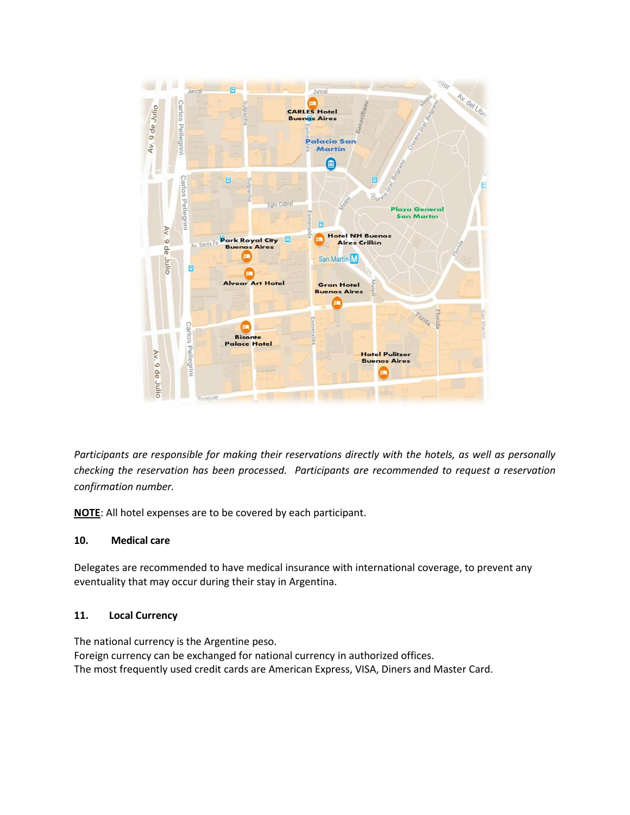

*Participants are responsible for making their reservations directly with the hotels, as well as personally checking the reservation has been processed. Participants are recommended to request a reservation confirmation number.* 

**NOTE**: All hotel expenses are to be covered by each participant.

#### **10. Medical care**

Delegates are recommended to have medical insurance with international coverage, to prevent any eventuality that may occur during their stay in Argentina.

#### **11. Local Currency**

The national currency is the Argentine peso. Foreign currency can be exchanged for national currency in authorized offices. The most frequently used credit cards are American Express, VISA, Diners and Master Card.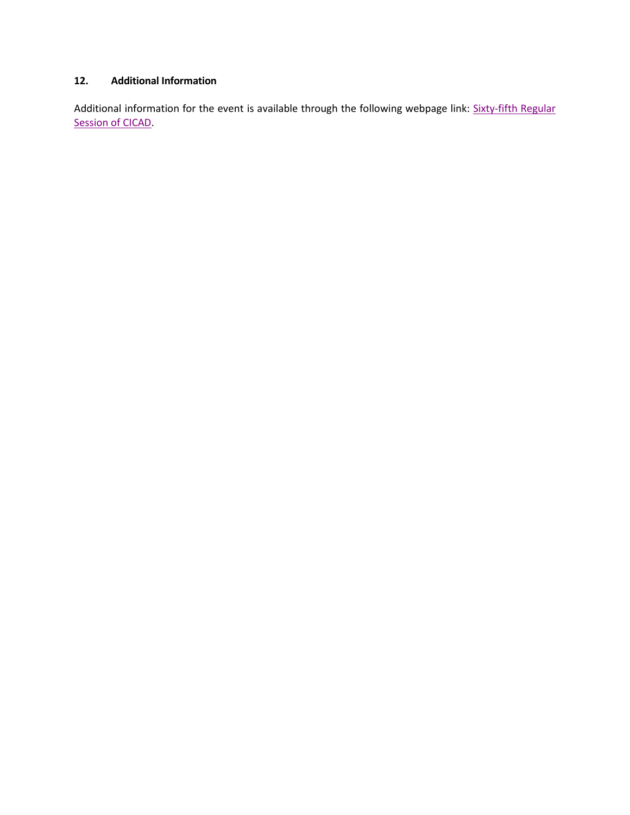# **12. Additional Information**

Additional information for the event is available through the following webpage link: [Sixty-fifth](http://www.cicad.oas.org/main/aboutcicad/activities_eng.asp?IE=ARM22A) Regular [Session of CICAD.](http://www.cicad.oas.org/main/aboutcicad/activities_eng.asp?IE=ARM22A)